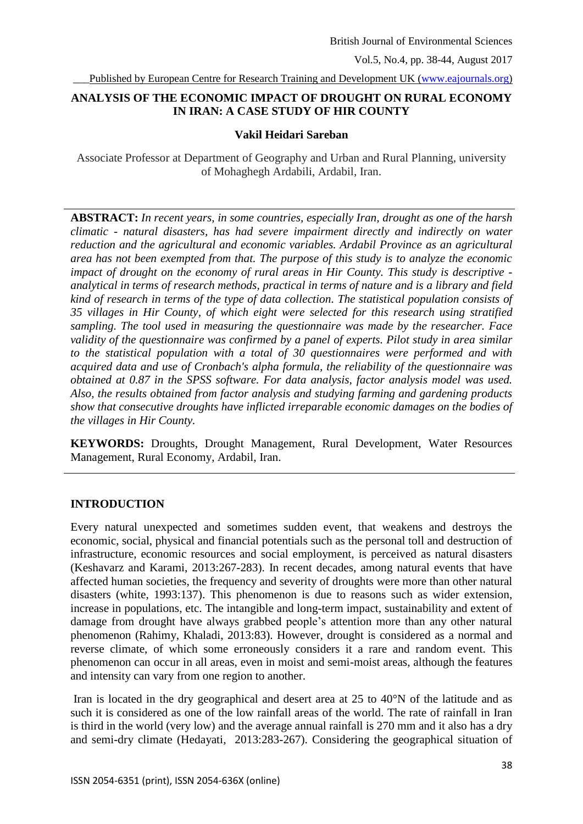\_\_\_Published by European Centre for Research Training and Development UK [\(www.eajournals.org\)](http://www.eajournals.org/)

## **ANALYSIS OF THE ECONOMIC IMPACT OF DROUGHT ON RURAL ECONOMY IN IRAN: A CASE STUDY OF HIR COUNTY**

#### **Vakil Heidari Sareban**

Associate Professor at Department of Geography and Urban and Rural Planning, university of Mohaghegh Ardabili, Ardabil, Iran.

**ABSTRACT:** *In recent years, in some countries, especially Iran, drought as one of the harsh climatic - natural disasters, has had severe impairment directly and indirectly on water reduction and the agricultural and economic variables. Ardabil Province as an agricultural area has not been exempted from that. The purpose of this study is to analyze the economic impact of drought on the economy of rural areas in Hir County. This study is descriptive analytical in terms of research methods, practical in terms of nature and is a library and field kind of research in terms of the type of data collection. The statistical population consists of 35 villages in Hir County, of which eight were selected for this research using stratified sampling. The tool used in measuring the questionnaire was made by the researcher. Face validity of the questionnaire was confirmed by a panel of experts. Pilot study in area similar to the statistical population with a total of 30 questionnaires were performed and with acquired data and use of Cronbach's alpha formula, the reliability of the questionnaire was obtained at 0.87 in the SPSS software. For data analysis, factor analysis model was used. Also, the results obtained from factor analysis and studying farming and gardening products show that consecutive droughts have inflicted irreparable economic damages on the bodies of the villages in Hir County.*

**KEYWORDS:** Droughts, Drought Management, Rural Development, Water Resources Management, Rural Economy, Ardabil, Iran.

#### **INTRODUCTION**

Every natural unexpected and sometimes sudden event, that weakens and destroys the economic, social, physical and financial potentials such as the personal toll and destruction of infrastructure, economic resources and social employment, is perceived as natural disasters (Keshavarz and Karami, 2013:267-283). In recent decades, among natural events that have affected human societies, the frequency and severity of droughts were more than other natural disasters (white, 1993:137). This phenomenon is due to reasons such as wider extension, increase in populations, etc. The intangible and long-term impact, sustainability and extent of damage from drought have always grabbed people's attention more than any other natural phenomenon (Rahimy, Khaladi, 2013:83). However, drought is considered as a normal and reverse climate, of which some erroneously considers it a rare and random event. This phenomenon can occur in all areas, even in moist and semi-moist areas, although the features and intensity can vary from one region to another.

Iran is located in the dry geographical and desert area at 25 to 40°N of the latitude and as such it is considered as one of the low rainfall areas of the world. The rate of rainfall in Iran is third in the world (very low) and the average annual rainfall is 270 mm and it also has a dry and semi-dry climate (Hedayati, 2013:283-267). Considering the geographical situation of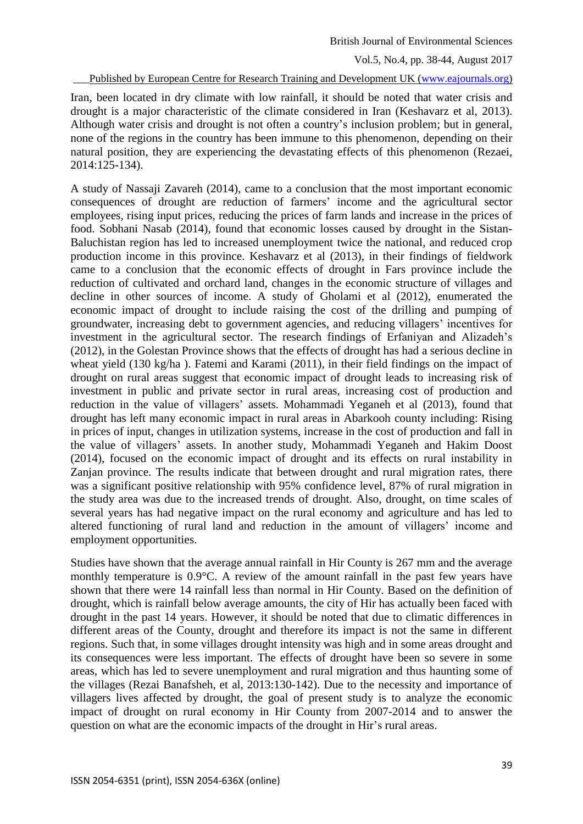Published by European Centre for Research Training and Development UK [\(www.eajournals.org\)](http://www.eajournals.org/)

Iran, been located in dry climate with low rainfall, it should be noted that water crisis and drought is a major characteristic of the climate considered in Iran (Keshavarz et al, 2013). Although water crisis and drought is not often a country's inclusion problem; but in general, none of the regions in the country has been immune to this phenomenon, depending on their natural position, they are experiencing the devastating effects of this phenomenon (Rezaei, 2014:125-134).

A study of Nassaji Zavareh (2014), came to a conclusion that the most important economic consequences of drought are reduction of farmers' income and the agricultural sector employees, rising input prices, reducing the prices of farm lands and increase in the prices of food. Sobhani Nasab (2014), found that economic losses caused by drought in the Sistan-Baluchistan region has led to increased unemployment twice the national, and reduced crop production income in this province. Keshavarz et al (2013), in their findings of fieldwork came to a conclusion that the economic effects of drought in Fars province include the reduction of cultivated and orchard land, changes in the economic structure of villages and decline in other sources of income. A study of Gholami et al (2012), enumerated the economic impact of drought to include raising the cost of the drilling and pumping of groundwater, increasing debt to government agencies, and reducing villagers' incentives for investment in the agricultural sector. The research findings of Erfaniyan and Alizadeh's (2012), in the Golestan Province shows that the effects of drought has had a serious decline in wheat yield (130 kg/ha ). Fatemi and Karami (2011), in their field findings on the impact of drought on rural areas suggest that economic impact of drought leads to increasing risk of investment in public and private sector in rural areas, increasing cost of production and reduction in the value of villagers' assets. Mohammadi Yeganeh et al (2013), found that drought has left many economic impact in rural areas in Abarkooh county including: Rising in prices of input, changes in utilization systems, increase in the cost of production and fall in the value of villagers' assets. In another study, Mohammadi Yeganeh and Hakim Doost (2014), focused on the economic impact of drought and its effects on rural instability in Zanjan province. The results indicate that between drought and rural migration rates, there was a significant positive relationship with 95% confidence level, 87% of rural migration in the study area was due to the increased trends of drought. Also, drought, on time scales of several years has had negative impact on the rural economy and agriculture and has led to altered functioning of rural land and reduction in the amount of villagers' income and employment opportunities.

Studies have shown that the average annual rainfall in Hir County is 267 mm and the average monthly temperature is 0.9°C. A review of the amount rainfall in the past few years have shown that there were 14 rainfall less than normal in Hir County. Based on the definition of drought, which is rainfall below average amounts, the city of Hir has actually been faced with drought in the past 14 years. However, it should be noted that due to climatic differences in different areas of the County, drought and therefore its impact is not the same in different regions. Such that, in some villages drought intensity was high and in some areas drought and its consequences were less important. The effects of drought have been so severe in some areas, which has led to severe unemployment and rural migration and thus haunting some of the villages (Rezai Banafsheh, et al, 2013:130-142). Due to the necessity and importance of villagers lives affected by drought, the goal of present study is to analyze the economic impact of drought on rural economy in Hir County from 2007-2014 and to answer the question on what are the economic impacts of the drought in Hir's rural areas.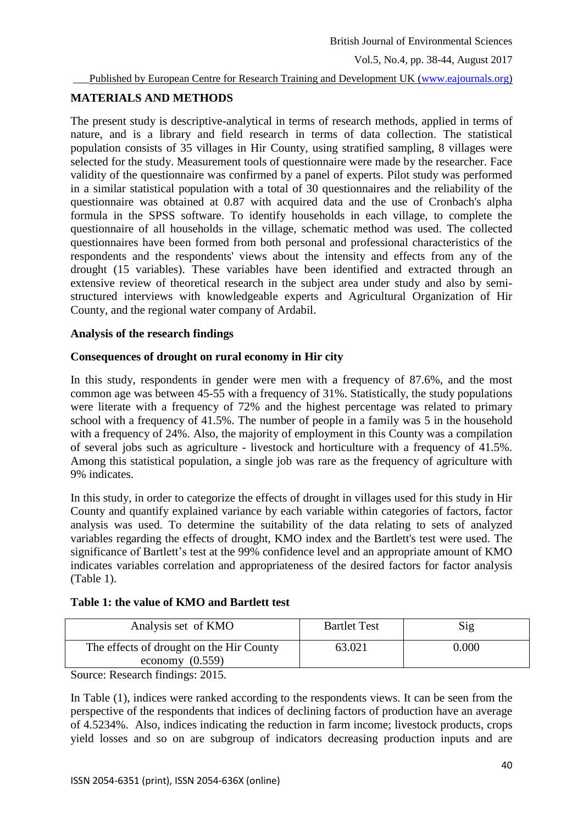Published by European Centre for Research Training and Development UK [\(www.eajournals.org\)](http://www.eajournals.org/)

# **MATERIALS AND METHODS**

The present study is descriptive-analytical in terms of research methods, applied in terms of nature, and is a library and field research in terms of data collection. The statistical population consists of 35 villages in Hir County, using stratified sampling, 8 villages were selected for the study. Measurement tools of questionnaire were made by the researcher. Face validity of the questionnaire was confirmed by a panel of experts. Pilot study was performed in a similar statistical population with a total of 30 questionnaires and the reliability of the questionnaire was obtained at 0.87 with acquired data and the use of Cronbach's alpha formula in the SPSS software. To identify households in each village, to complete the questionnaire of all households in the village, schematic method was used. The collected questionnaires have been formed from both personal and professional characteristics of the respondents and the respondents' views about the intensity and effects from any of the drought (15 variables). These variables have been identified and extracted through an extensive review of theoretical research in the subject area under study and also by semistructured interviews with knowledgeable experts and Agricultural Organization of Hir County, and the regional water company of Ardabil.

# **Analysis of the research findings**

### **Consequences of drought on rural economy in Hir city**

In this study, respondents in gender were men with a frequency of 87.6%, and the most common age was between 45-55 with a frequency of 31%. Statistically, the study populations were literate with a frequency of 72% and the highest percentage was related to primary school with a frequency of 41.5%. The number of people in a family was 5 in the household with a frequency of 24%. Also, the majority of employment in this County was a compilation of several jobs such as agriculture - livestock and horticulture with a frequency of 41.5%. Among this statistical population, a single job was rare as the frequency of agriculture with 9% indicates.

In this study, in order to categorize the effects of drought in villages used for this study in Hir County and quantify explained variance by each variable within categories of factors, factor analysis was used. To determine the suitability of the data relating to sets of analyzed variables regarding the effects of drought, KMO index and the Bartlett's test were used. The significance of Bartlett's test at the 99% confidence level and an appropriate amount of KMO indicates variables correlation and appropriateness of the desired factors for factor analysis (Table 1).

|  |  |  | Table 1: the value of KMO and Bartlett test |  |
|--|--|--|---------------------------------------------|--|
|--|--|--|---------------------------------------------|--|

| Analysis set of KMO                                           | <b>Bartlet Test</b> | Sig   |
|---------------------------------------------------------------|---------------------|-------|
| The effects of drought on the Hir County<br>economy $(0.559)$ | 63.021              | 0.000 |

Source: Research findings: 2015.

In Table (1), indices were ranked according to the respondents views. It can be seen from the perspective of the respondents that indices of declining factors of production have an average of 4.5234%. Also, indices indicating the reduction in farm income; livestock products, crops yield losses and so on are subgroup of indicators decreasing production inputs and are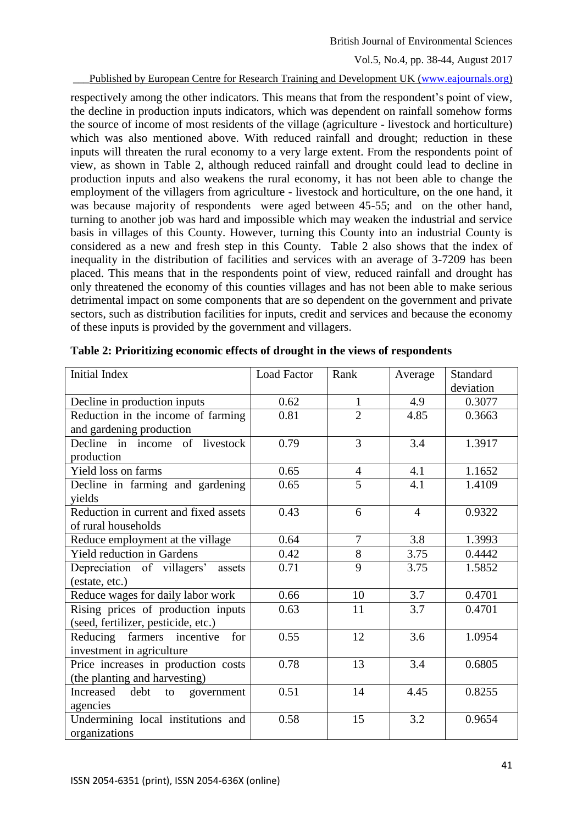British Journal of Environmental Sciences

Vol.5, No.4, pp. 38-44, August 2017

Published by European Centre for Research Training and Development UK [\(www.eajournals.org\)](http://www.eajournals.org/)

respectively among the other indicators. This means that from the respondent's point of view, the decline in production inputs indicators, which was dependent on rainfall somehow forms the source of income of most residents of the village (agriculture - livestock and horticulture) which was also mentioned above. With reduced rainfall and drought; reduction in these inputs will threaten the rural economy to a very large extent. From the respondents point of view, as shown in Table 2, although reduced rainfall and drought could lead to decline in production inputs and also weakens the rural economy, it has not been able to change the employment of the villagers from agriculture - livestock and horticulture, on the one hand, it was because majority of respondents were aged between 45-55; and on the other hand, turning to another job was hard and impossible which may weaken the industrial and service basis in villages of this County. However, turning this County into an industrial County is considered as a new and fresh step in this County. Table 2 also shows that the index of inequality in the distribution of facilities and services with an average of 3-7209 has been placed. This means that in the respondents point of view, reduced rainfall and drought has only threatened the economy of this counties villages and has not been able to make serious detrimental impact on some components that are so dependent on the government and private sectors, such as distribution facilities for inputs, credit and services and because the economy of these inputs is provided by the government and villagers.

| <b>Initial Index</b>                  | <b>Load Factor</b> | Rank           | Average          | Standard  |
|---------------------------------------|--------------------|----------------|------------------|-----------|
|                                       |                    |                |                  | deviation |
| Decline in production inputs          | 0.62               | $\mathbf{1}$   | 4.9              | 0.3077    |
| Reduction in the income of farming    | 0.81               | $\overline{2}$ | 4.85             | 0.3663    |
| and gardening production              |                    |                |                  |           |
| Decline in income of livestock        | 0.79               | 3              | 3.4              | 1.3917    |
| production                            |                    |                |                  |           |
| Yield loss on farms                   | 0.65               | $\overline{4}$ | 4.1              | 1.1652    |
| Decline in farming and gardening      | 0.65               | 5              | 4.1              | 1.4109    |
| yields                                |                    |                |                  |           |
| Reduction in current and fixed assets | 0.43               | 6              | $\overline{4}$   | 0.9322    |
| of rural households                   |                    |                |                  |           |
| Reduce employment at the village      | 0.64               | $\overline{7}$ | $\overline{3.8}$ | 1.3993    |
| <b>Yield reduction in Gardens</b>     | 0.42               | $8\,$          | 3.75             | 0.4442    |
| Depreciation of villagers' assets     | 0.71               | $\overline{9}$ | 3.75             | 1.5852    |
| (estate, etc.)                        |                    |                |                  |           |
| Reduce wages for daily labor work     | 0.66               | 10             | 3.7              | 0.4701    |
| Rising prices of production inputs    | 0.63               | 11             | 3.7              | 0.4701    |
| (seed, fertilizer, pesticide, etc.)   |                    |                |                  |           |
| Reducing farmers incentive<br>for     | 0.55               | 12             | 3.6              | 1.0954    |
| investment in agriculture             |                    |                |                  |           |
| Price increases in production costs   | 0.78               | 13             | 3.4              | 0.6805    |
| (the planting and harvesting)         |                    |                |                  |           |
| debt<br>Increased<br>to<br>government | 0.51               | 14             | 4.45             | 0.8255    |
| agencies                              |                    |                |                  |           |
| Undermining local institutions and    | 0.58               | 15             | 3.2              | 0.9654    |
| organizations                         |                    |                |                  |           |

**Table 2: Prioritizing economic effects of drought in the views of respondents**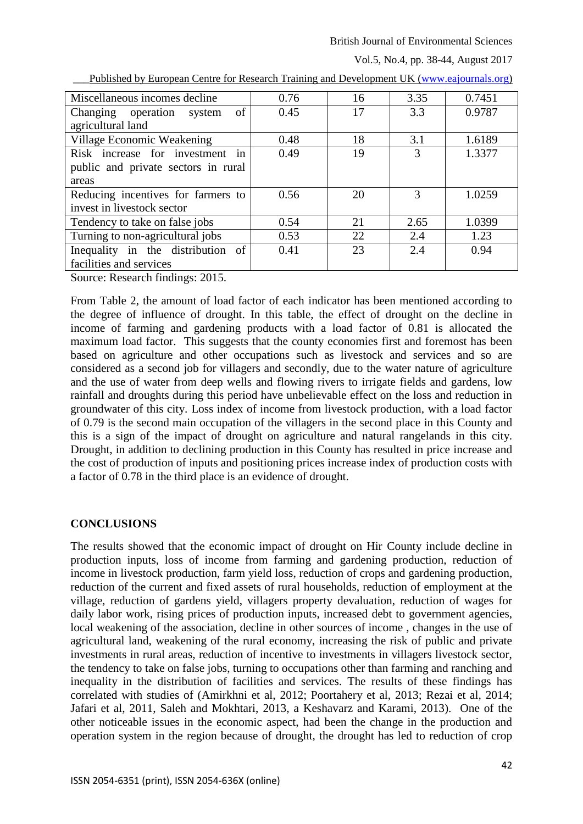#### British Journal of Environmental Sciences

Vol.5, No.4, pp. 38-44, August 2017

| Miscellaneous incomes decline                        | 0.76 | 16 | 3.35 | 0.7451 |
|------------------------------------------------------|------|----|------|--------|
| Changing operation system of                         | 0.45 | 17 | 3.3  | 0.9787 |
| agricultural land                                    |      |    |      |        |
| Village Economic Weakening                           | 0.48 | 18 | 3.1  | 1.6189 |
| Risk increase for investment in                      | 0.49 | 19 | 3    | 1.3377 |
| public and private sectors in rural                  |      |    |      |        |
| areas                                                |      |    |      |        |
| Reducing incentives for farmers to                   | 0.56 | 20 | 3    | 1.0259 |
| invest in livestock sector                           |      |    |      |        |
| Tendency to take on false jobs                       | 0.54 | 21 | 2.65 | 1.0399 |
| Turning to non-agricultural jobs                     | 0.53 | 22 | 2.4  | 1.23   |
| Inequality in the distribution of                    | 0.41 | 23 | 2.4  | 0.94   |
| facilities and services                              |      |    |      |        |
| $\alpha$ n 1 $\alpha$ 1'<br>$\bigcap_{n=1}^{\infty}$ |      |    |      |        |

Published by European Centre for Research Training and Development UK [\(www.eajournals.org\)](http://www.eajournals.org/)

Source: Research findings: 2015.

From Table 2, the amount of load factor of each indicator has been mentioned according to the degree of influence of drought. In this table, the effect of drought on the decline in income of farming and gardening products with a load factor of 0.81 is allocated the maximum load factor. This suggests that the county economies first and foremost has been based on agriculture and other occupations such as livestock and services and so are considered as a second job for villagers and secondly, due to the water nature of agriculture and the use of water from deep wells and flowing rivers to irrigate fields and gardens, low rainfall and droughts during this period have unbelievable effect on the loss and reduction in groundwater of this city. Loss index of income from livestock production, with a load factor of 0.79 is the second main occupation of the villagers in the second place in this County and this is a sign of the impact of drought on agriculture and natural rangelands in this city. Drought, in addition to declining production in this County has resulted in price increase and the cost of production of inputs and positioning prices increase index of production costs with a factor of 0.78 in the third place is an evidence of drought.

# **CONCLUSIONS**

The results showed that the economic impact of drought on Hir County include decline in production inputs, loss of income from farming and gardening production, reduction of income in livestock production, farm yield loss, reduction of crops and gardening production, reduction of the current and fixed assets of rural households, reduction of employment at the village, reduction of gardens yield, villagers property devaluation, reduction of wages for daily labor work, rising prices of production inputs, increased debt to government agencies, local weakening of the association, decline in other sources of income , changes in the use of agricultural land, weakening of the rural economy, increasing the risk of public and private investments in rural areas, reduction of incentive to investments in villagers livestock sector, the tendency to take on false jobs, turning to occupations other than farming and ranching and inequality in the distribution of facilities and services. The results of these findings has correlated with studies of (Amirkhni et al, 2012; Poortahery et al, 2013; Rezai et al, 2014; Jafari et al, 2011, Saleh and Mokhtari, 2013, a Keshavarz and Karami, 2013). One of the other noticeable issues in the economic aspect, had been the change in the production and operation system in the region because of drought, the drought has led to reduction of crop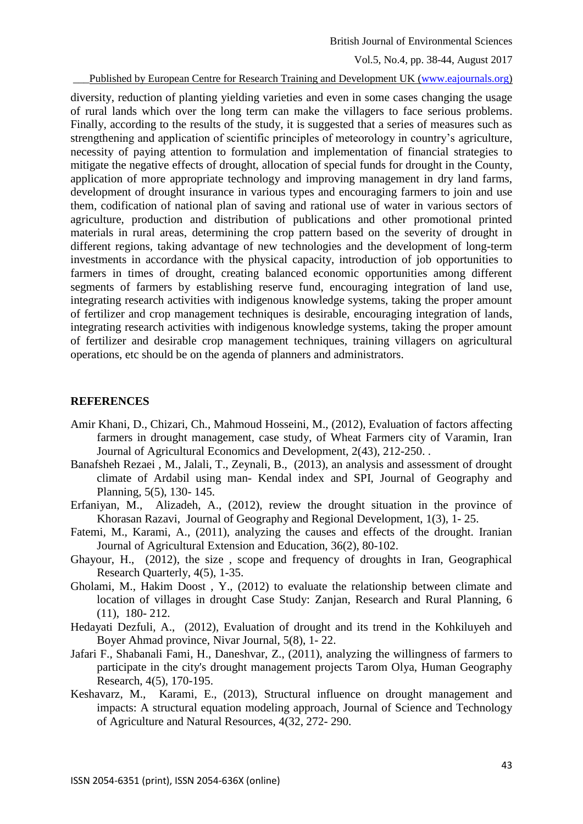Published by European Centre for Research Training and Development UK [\(www.eajournals.org\)](http://www.eajournals.org/)

diversity, reduction of planting yielding varieties and even in some cases changing the usage of rural lands which over the long term can make the villagers to face serious problems. Finally, according to the results of the study, it is suggested that a series of measures such as strengthening and application of scientific principles of meteorology in country's agriculture, necessity of paying attention to formulation and implementation of financial strategies to mitigate the negative effects of drought, allocation of special funds for drought in the County, application of more appropriate technology and improving management in dry land farms, development of drought insurance in various types and encouraging farmers to join and use them, codification of national plan of saving and rational use of water in various sectors of agriculture, production and distribution of publications and other promotional printed materials in rural areas, determining the crop pattern based on the severity of drought in different regions, taking advantage of new technologies and the development of long-term investments in accordance with the physical capacity, introduction of job opportunities to farmers in times of drought, creating balanced economic opportunities among different segments of farmers by establishing reserve fund, encouraging integration of land use, integrating research activities with indigenous knowledge systems, taking the proper amount of fertilizer and crop management techniques is desirable, encouraging integration of lands, integrating research activities with indigenous knowledge systems, taking the proper amount of fertilizer and desirable crop management techniques, training villagers on agricultural operations, etc should be on the agenda of planners and administrators.

#### **REFERENCES**

- Amir Khani, D., Chizari, Ch., Mahmoud Hosseini, M., (2012), Evaluation of factors affecting farmers in drought management, case study, of Wheat Farmers city of Varamin, Iran Journal of Agricultural Economics and Development, 2(43), 212-250. .
- Banafsheh Rezaei , M., Jalali, T., Zeynali, B., (2013), an analysis and assessment of drought climate of Ardabil using man- Kendal index and SPI, Journal of Geography and Planning, 5(5), 130- 145.
- Erfaniyan, M., Alizadeh, A., (2012), review the drought situation in the province of Khorasan Razavi, Journal of Geography and Regional Development, 1(3), 1- 25.
- Fatemi, M., Karami, A., (2011), analyzing the causes and effects of the drought. Iranian Journal of Agricultural Extension and Education, 36(2), 80-102.
- Ghayour, H., (2012), the size , scope and frequency of droughts in Iran, Geographical Research Quarterly, 4(5), 1-35.
- Gholami, M., Hakim Doost , Y., (2012) to evaluate the relationship between climate and location of villages in drought Case Study: Zanjan, Research and Rural Planning, 6 (11), 180- 212.
- Hedayati Dezfuli, A., (2012), Evaluation of drought and its trend in the Kohkiluyeh and Boyer Ahmad province, Nivar Journal, 5(8), 1- 22.
- Jafari F., Shabanali Fami, H., Daneshvar, Z., (2011), analyzing the willingness of farmers to participate in the city's drought management projects Tarom Olya, Human Geography Research, 4(5), 170-195.
- Keshavarz, M., Karami, E., (2013), Structural influence on drought management and impacts: A structural equation modeling approach, Journal of Science and Technology of Agriculture and Natural Resources, 4(32, 272- 290.